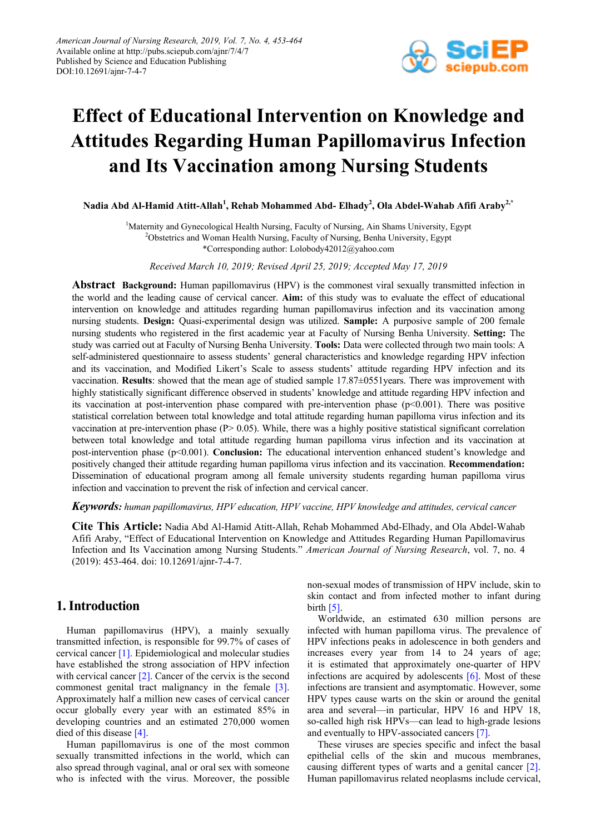

# **Effect of Educational Intervention on Knowledge and Attitudes Regarding Human Papillomavirus Infection and Its Vaccination among Nursing Students**

**Nadia Abd Al-Hamid Atitt-Allah<sup>1</sup> , Rehab Mohammed Abd- Elhady<sup>2</sup> , Ola Abdel-Wahab Afifi Araby2,\***

<sup>1</sup>Maternity and Gynecological Health Nursing, Faculty of Nursing, Ain Shams University, Egypt <sup>2</sup>Obstetrics and Woman Health Nursing, Faculty of Nursing, Benha University, Egypt \*Corresponding author: Lolobody42012@yahoo.com

*Received March 10, 2019; Revised April 25, 2019; Accepted May 17, 2019*

**Abstract Background:** Human papillomavirus (HPV) is the commonest viral sexually transmitted infection in the world and the leading cause of cervical cancer. **Aim:** of this study was to evaluate the effect of educational intervention on knowledge and attitudes regarding human papillomavirus infection and its vaccination among nursing students. **Design:** Quasi-experimental design was utilized. **Sample:** A purposive sample of 200 female nursing students who registered in the first academic year at Faculty of Nursing Benha University. **Setting:** The study was carried out at Faculty of Nursing Benha University. **Tools:** Data were collected through two main tools: A self-administered questionnaire to assess students' general characteristics and knowledge regarding HPV infection and its vaccination, and Modified Likert's Scale to assess students' attitude regarding HPV infection and its vaccination. **Results**: showed that the mean age of studied sample 17.87±0551years. There was improvement with highly statistically significant difference observed in students' knowledge and attitude regarding HPV infection and its vaccination at post-intervention phase compared with pre-intervention phase  $(p< 0.001)$ . There was positive statistical correlation between total knowledge and total attitude regarding human papilloma virus infection and its vaccination at pre-intervention phase (P> 0.05). While, there was a highly positive statistical significant correlation between total knowledge and total attitude regarding human papilloma virus infection and its vaccination at post-intervention phase (p<0.001). **Conclusion:** The educational intervention enhanced student's knowledge and positively changed their attitude regarding human papilloma virus infection and its vaccination. **Recommendation:**  Dissemination of educational program among all female university students regarding human papilloma virus infection and vaccination to prevent the risk of infection and cervical cancer.

#### *Keywords: human papillomavirus, HPV education, HPV vaccine, HPV knowledge and attitudes, cervical cancer*

**Cite This Article:** Nadia Abd Al-Hamid Atitt-Allah, Rehab Mohammed Abd-Elhady, and Ola Abdel-Wahab Afifi Araby, "Effect of Educational Intervention on Knowledge and Attitudes Regarding Human Papillomavirus Infection and Its Vaccination among Nursing Students." *American Journal of Nursing Research*, vol. 7, no. 4 (2019): 453-464. doi: 10.12691/ajnr-7-4-7.

# **1. Introduction**

Human papillomavirus (HPV), a mainly sexually transmitted infection, is responsible for 99.7% of cases of cervical cance[r \[1\].](#page-10-0) Epidemiological and molecular studies have established the strong association of HPV infection with cervical cancer [\[2\].](#page-10-1) Cancer of the cervix is the second commonest genital tract malignancy in the female [\[3\].](#page-10-2) Approximately half a million new cases of cervical cancer occur globally every year with an estimated 85% in developing countries and an estimated 270,000 women died of this diseas[e \[4\].](#page-10-3)

Human papillomavirus is one of the most common sexually transmitted infections in the world, which can also spread through vaginal, anal or oral sex with someone who is infected with the virus. Moreover, the possible non-sexual modes of transmission of HPV include, skin to skin contact and from infected mother to infant during birt[h \[5\].](#page-10-4)

Worldwide, an estimated 630 million persons are infected with human papilloma virus. The prevalence of HPV infections peaks in adolescence in both genders and increases every year from 14 to 24 years of age; it is estimated that approximately one-quarter of HPV infections are acquired by adolescents  $[6]$ . Most of these infections are transient and asymptomatic. However, some HPV types cause warts on the skin or around the genital area and several—in particular, HPV 16 and HPV 18, so-called high risk HPVs—can lead to high-grade lesions and eventually to HPV-associated cancers [\[7\].](#page-11-0)

These viruses are species specific and infect the basal epithelial cells of the skin and mucous membranes, causing different types of warts and a genital cancer [\[2\].](#page-10-1) Human papillomavirus related neoplasms include cervical,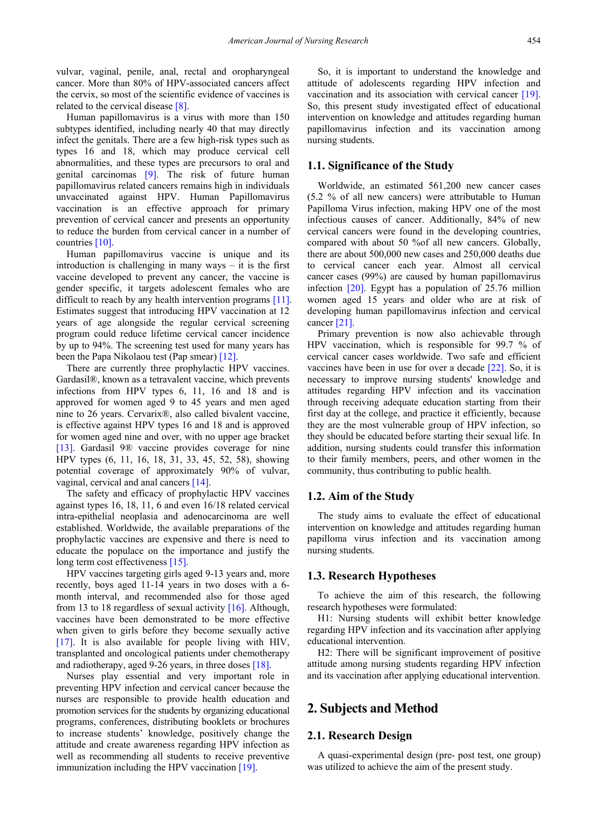vulvar, vaginal, penile, anal, rectal and oropharyngeal cancer. More than 80% of HPV-associated cancers affect the cervix, so most of the scientific evidence of vaccines is related to the cervical disease [\[8\].](#page-11-1)

Human papillomavirus is a virus with more than 150 subtypes identified, including nearly 40 that may directly infect the genitals. There are a few high-risk types such as types 16 and 18, which may produce cervical cell abnormalities, and these types are precursors to oral and genital carcinomas [\[9\].](#page-11-2) The risk of future human papillomavirus related cancers remains high in individuals unvaccinated against HPV. Human Papillomavirus vaccination is an effective approach for primary prevention of cervical cancer and presents an opportunity to reduce the burden from cervical cancer in a number of countries [\[10\].](#page-11-3)

Human papillomavirus vaccine is unique and its introduction is challenging in many ways – it is the first vaccine developed to prevent any cancer, the vaccine is gender specific, it targets adolescent females who are difficult to reach by any health intervention programs [\[11\].](#page-11-4) Estimates suggest that introducing HPV vaccination at 12 years of age alongside the regular cervical screening program could reduce lifetime cervical cancer incidence by up to 94%. The screening test used for many years has been the Papa Nikolaou test (Pap smear) [\[12\].](#page-11-5)

There are currently three prophylactic HPV vaccines. Gardasil®, known as a tetravalent vaccine, which prevents infections from HPV types 6, 11, 16 and 18 and is approved for women aged 9 to 45 years and men aged nine to 26 years. Cervarix®, also called bivalent vaccine, is effective against HPV types 16 and 18 and is approved for women aged nine and over, with no upper age bracket [\[13\].](#page-11-6) Gardasil 9® vaccine provides coverage for nine HPV types (6, 11, 16, 18, 31, 33, 45, 52, 58), showing potential coverage of approximately 90% of vulvar, vaginal, cervical and anal cancers [\[14\].](#page-11-7)

The safety and efficacy of prophylactic HPV vaccines against types 16, 18, 11, 6 and even 16/18 related cervical intra-epithelial neoplasia and adenocarcinoma are well established. Worldwide, the available preparations of the prophylactic vaccines are expensive and there is need to educate the populace on the importance and justify the long term cost effectiveness [\[15\].](#page-11-8)

HPV vaccines targeting girls aged 9-13 years and, more recently, boys aged 11-14 years in two doses with a 6 month interval, and recommended also for those aged from 13 to 18 regardless of sexual activity  $[16]$ . Although, vaccines have been demonstrated to be more effective when given to girls before they become sexually active [\[17\].](#page-11-10) It is also available for people living with HIV, transplanted and oncological patients under chemotherapy and radiotherapy, aged 9-26 years, in three doses [\[18\].](#page-11-11)

Nurses play essential and very important role in preventing HPV infection and cervical cancer because the nurses are responsible to provide health education and promotion services for the students by organizing educational programs, conferences, distributing booklets or brochures to increase students' knowledge, positively change the attitude and create awareness regarding HPV infection as well as recommending all students to receive preventive immunization including the HPV vaccination [\[19\].](#page-11-12)

So, it is important to understand the knowledge and attitude of adolescents regarding HPV infection and vaccination and its association with cervical cancer [\[19\].](#page-11-12) So, this present study investigated effect of educational intervention on knowledge and attitudes regarding human papillomavirus infection and its vaccination among nursing students.

#### **1.1. Significance of the Study**

Worldwide, an estimated 561,200 new cancer cases (5.2 % of all new cancers) were attributable to Human Papilloma Virus infection, making HPV one of the most infectious causes of cancer. Additionally, 84% of new cervical cancers were found in the developing countries, compared with about 50 %of all new cancers. Globally, there are about 500,000 new cases and 250,000 deaths due to cervical cancer each year. Almost all cervical cancer cases (99%) are caused by human papillomavirus infection [\[20\].](#page-11-13) Egypt has a population of 25.76 million women aged 15 years and older who are at risk of developing human papillomavirus infection and cervical cancer [\[21\].](#page-11-14)

Primary prevention is now also achievable through HPV vaccination, which is responsible for 99.7 % of cervical cancer cases worldwide. Two safe and efficient vaccines have been in use for over a decade [\[22\].](#page-11-15) So, it is necessary to improve nursing students' knowledge and attitudes regarding HPV infection and its vaccination through receiving adequate education starting from their first day at the college, and practice it efficiently, because they are the most vulnerable group of HPV infection, so they should be educated before starting their sexual life. In addition, nursing students could transfer this information to their family members, peers, and other women in the community, thus contributing to public health.

#### **1.2. Aim of the Study**

The study aims to evaluate the effect of educational intervention on knowledge and attitudes regarding human papilloma virus infection and its vaccination among nursing students.

#### **1.3. Research Hypotheses**

To achieve the aim of this research, the following research hypotheses were formulated:

H1: Nursing students will exhibit better knowledge regarding HPV infection and its vaccination after applying educational intervention.

H2: There will be significant improvement of positive attitude among nursing students regarding HPV infection and its vaccination after applying educational intervention.

# **2. Subjects and Method**

## **2.1. Research Design**

A quasi-experimental design (pre- post test, one group) was utilized to achieve the aim of the present study.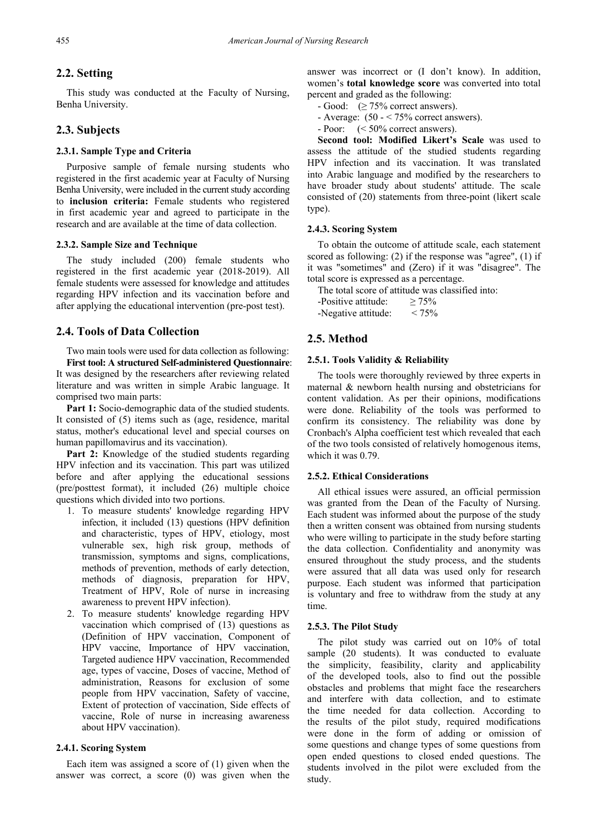## **2.2. Setting**

This study was conducted at the Faculty of Nursing, Benha University.

## **2.3. Subjects**

#### **2.3.1. Sample Type and Criteria**

Purposive sample of female nursing students who registered in the first academic year at Faculty of Nursing Benha University, were included in the current study according to **inclusion criteria:** Female students who registered in first academic year and agreed to participate in the research and are available at the time of data collection.

#### **2.3.2. Sample Size and Technique**

The study included (200) female students who registered in the first academic year (2018-2019). All female students were assessed for knowledge and attitudes regarding HPV infection and its vaccination before and after applying the educational intervention (pre-post test).

# **2.4. Tools of Data Collection**

Two main tools were used for data collection as following:

**First tool: A structured Self-administered Questionnaire**: It was designed by the researchers after reviewing related literature and was written in simple Arabic language. It comprised two main parts:

**Part 1:** Socio-demographic data of the studied students. It consisted of (5) items such as (age, residence, marital status, mother's educational level and special courses on human papillomavirus and its vaccination).

**Part 2:** Knowledge of the studied students regarding HPV infection and its vaccination. This part was utilized before and after applying the educational sessions (pre/posttest format), it included (26) multiple choice questions which divided into two portions.

- 1. To measure students' knowledge regarding HPV infection, it included (13) questions (HPV definition and characteristic, types of HPV, etiology, most vulnerable sex, high risk group, methods of transmission, symptoms and signs, complications, methods of prevention, methods of early detection, methods of diagnosis, preparation for HPV, Treatment of HPV, Role of nurse in increasing awareness to prevent HPV infection).
- 2. To measure students' knowledge regarding HPV vaccination which comprised of (13) questions as (Definition of HPV vaccination, Component of HPV vaccine, Importance of HPV vaccination, Targeted audience HPV vaccination, Recommended age, types of vaccine, Doses of vaccine, Method of administration, Reasons for exclusion of some people from HPV vaccination, Safety of vaccine, Extent of protection of vaccination, Side effects of vaccine, Role of nurse in increasing awareness about HPV vaccination).

## **2.4.1. Scoring System**

Each item was assigned a score of (1) given when the answer was correct, a score (0) was given when the

answer was incorrect or (I don't know). In addition, women's **total knowledge score** was converted into total percent and graded as the following:

- $-$  Good: ( $\geq$  75% correct answers).
- Average:  $(50 75\%$  correct answers).
- Poor: (< 50% correct answers).

**Second tool: Modified Likert's Scale** was used to assess the attitude of the studied students regarding HPV infection and its vaccination. It was translated into Arabic language and modified by the researchers to have broader study about students' attitude. The scale consisted of (20) statements from three-point (likert scale type).

#### **2.4.3. Scoring System**

To obtain the outcome of attitude scale, each statement scored as following: (2) if the response was "agree", (1) if it was "sometimes" and (Zero) if it was "disagree". The total score is expressed as a percentage.

The total score of attitude was classified into:

-Positive attitude:  $\geq 75\%$ -Negative attitude:  $< 75\%$ 

# **2.5. Method**

#### **2.5.1. Tools Validity & Reliability**

The tools were thoroughly reviewed by three experts in maternal & newborn health nursing and obstetricians for content validation. As per their opinions, modifications were done. Reliability of the tools was performed to confirm its consistency. The reliability was done by Cronbach's Alpha coefficient test which revealed that each of the two tools consisted of relatively homogenous items, which it was 0.79.

#### **2.5.2. Ethical Considerations**

All ethical issues were assured, an official permission was granted from the Dean of the Faculty of Nursing. Each student was informed about the purpose of the study then a written consent was obtained from nursing students who were willing to participate in the study before starting the data collection. Confidentiality and anonymity was ensured throughout the study process, and the students were assured that all data was used only for research purpose. Each student was informed that participation is voluntary and free to withdraw from the study at any time.

#### **2.5.3. The Pilot Study**

The pilot study was carried out on 10% of total sample (20 students). It was conducted to evaluate the simplicity, feasibility, clarity and applicability of the developed tools, also to find out the possible obstacles and problems that might face the researchers and interfere with data collection, and to estimate the time needed for data collection. According to the results of the pilot study, required modifications were done in the form of adding or omission of some questions and change types of some questions from open ended questions to closed ended questions. The students involved in the pilot were excluded from the study.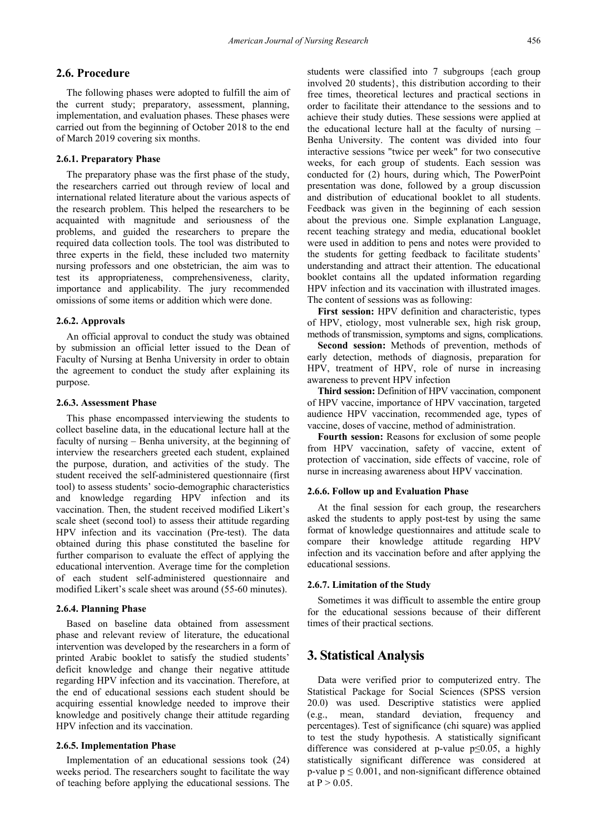## **2.6. Procedure**

The following phases were adopted to fulfill the aim of the current study; preparatory, assessment, planning, implementation, and evaluation phases. These phases were carried out from the beginning of October 2018 to the end of March 2019 covering six months.

#### **2.6.1. Preparatory Phase**

The preparatory phase was the first phase of the study, the researchers carried out through review of local and international related literature about the various aspects of the research problem. This helped the researchers to be acquainted with magnitude and seriousness of the problems, and guided the researchers to prepare the required data collection tools. The tool was distributed to three experts in the field, these included two maternity nursing professors and one obstetrician, the aim was to test its appropriateness, comprehensiveness, clarity, importance and applicability. The jury recommended omissions of some items or addition which were done.

#### **2.6.2. Approvals**

An official approval to conduct the study was obtained by submission an official letter issued to the Dean of Faculty of Nursing at Benha University in order to obtain the agreement to conduct the study after explaining its purpose.

#### **2.6.3. Assessment Phase**

This phase encompassed interviewing the students to collect baseline data, in the educational lecture hall at the faculty of nursing – Benha university, at the beginning of interview the researchers greeted each student, explained the purpose, duration, and activities of the study. The student received the self-administered questionnaire (first tool) to assess students' socio-demographic characteristics and knowledge regarding HPV infection and its vaccination. Then, the student received modified Likert's scale sheet (second tool) to assess their attitude regarding HPV infection and its vaccination (Pre-test). The data obtained during this phase constituted the baseline for further comparison to evaluate the effect of applying the educational intervention. Average time for the completion of each student self-administered questionnaire and modified Likert's scale sheet was around (55-60 minutes).

#### **2.6.4. Planning Phase**

Based on baseline data obtained from assessment phase and relevant review of literature, the educational intervention was developed by the researchers in a form of printed Arabic booklet to satisfy the studied students' deficit knowledge and change their negative attitude regarding HPV infection and its vaccination. Therefore, at the end of educational sessions each student should be acquiring essential knowledge needed to improve their knowledge and positively change their attitude regarding HPV infection and its vaccination.

#### **2.6.5. Implementation Phase**

Implementation of an educational sessions took (24) weeks period. The researchers sought to facilitate the way of teaching before applying the educational sessions. The students were classified into 7 subgroups {each group involved 20 students}, this distribution according to their free times, theoretical lectures and practical sections in order to facilitate their attendance to the sessions and to achieve their study duties. These sessions were applied at the educational lecture hall at the faculty of nursing – Benha University. The content was divided into four interactive sessions "twice per week" for two consecutive weeks, for each group of students. Each session was conducted for (2) hours, during which, The PowerPoint presentation was done, followed by a group discussion and distribution of educational booklet to all students. Feedback was given in the beginning of each session about the previous one. Simple explanation Language, recent teaching strategy and media, educational booklet were used in addition to pens and notes were provided to the students for getting feedback to facilitate students' understanding and attract their attention. The educational booklet contains all the updated information regarding HPV infection and its vaccination with illustrated images. The content of sessions was as following:

**First session:** HPV definition and characteristic, types of HPV, etiology, most vulnerable sex, high risk group, methods of transmission, symptoms and signs, complications.

**Second session:** Methods of prevention, methods of early detection, methods of diagnosis, preparation for HPV, treatment of HPV, role of nurse in increasing awareness to prevent HPV infection

**Third session:** Definition of HPV vaccination, component of HPV vaccine, importance of HPV vaccination, targeted audience HPV vaccination, recommended age, types of vaccine, doses of vaccine, method of administration.

**Fourth session:** Reasons for exclusion of some people from HPV vaccination, safety of vaccine, extent of protection of vaccination, side effects of vaccine, role of nurse in increasing awareness about HPV vaccination.

#### **2.6.6. Follow up and Evaluation Phase**

At the final session for each group, the researchers asked the students to apply post-test by using the same format of knowledge questionnaires and attitude scale to compare their knowledge attitude regarding HPV infection and its vaccination before and after applying the educational sessions.

#### **2.6.7. Limitation of the Study**

Sometimes it was difficult to assemble the entire group for the educational sessions because of their different times of their practical sections.

# **3. Statistical Analysis**

Data were verified prior to computerized entry. The Statistical Package for Social Sciences (SPSS version 20.0) was used. Descriptive statistics were applied (e.g., mean, standard deviation, frequency and percentages). Test of significance (chi square) was applied to test the study hypothesis. A statistically significant difference was considered at p-value p≤0.05, a highly statistically significant difference was considered at p-value  $p \le 0.001$ , and non-significant difference obtained at  $P > 0.05$ .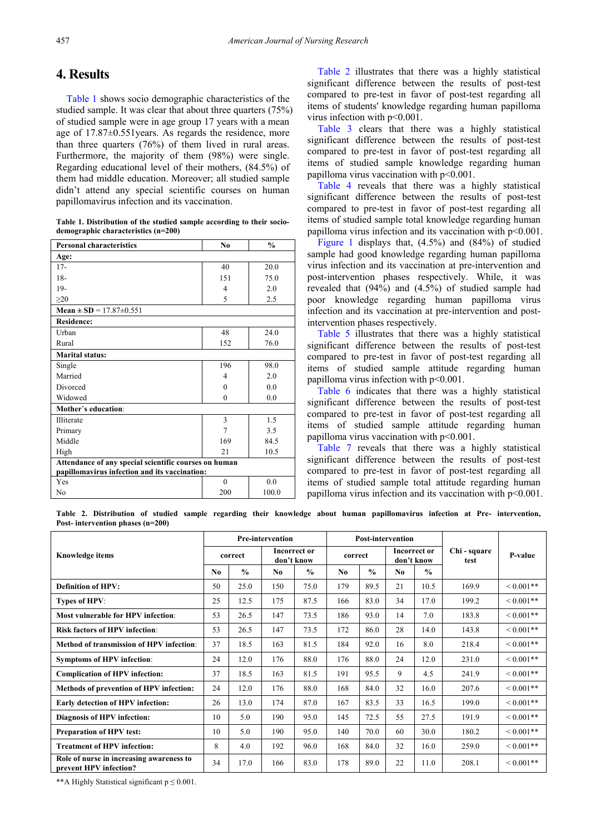# **4. Results**

[Table 1](#page-4-0) shows socio demographic characteristics of the studied sample. It was clear that about three quarters (75%) of studied sample were in age group 17 years with a mean age of 17.87±0.551years. As regards the residence, more than three quarters (76%) of them lived in rural areas. Furthermore, the majority of them (98%) were single. Regarding educational level of their mothers, (84.5%) of them had middle education. Moreover; all studied sample didn't attend any special scientific courses on human papillomavirus infection and its vaccination.

**Table 1. Distribution of the studied sample according to their sociodemographic characteristics (n=200)**

<span id="page-4-0"></span>

| <b>Personal characteristics</b>                       | N <sub>0</sub> | $\frac{0}{0}$ |  |  |  |  |  |  |  |  |
|-------------------------------------------------------|----------------|---------------|--|--|--|--|--|--|--|--|
| Age:                                                  |                |               |  |  |  |  |  |  |  |  |
| $17 -$                                                | 40             | 20.0          |  |  |  |  |  |  |  |  |
| $18-$                                                 | 151            | 75.0          |  |  |  |  |  |  |  |  |
| $19-$                                                 | $\overline{4}$ | 2.0           |  |  |  |  |  |  |  |  |
| $\geq 20$                                             | 5              | 2.5           |  |  |  |  |  |  |  |  |
| Mean $\pm$ SD = 17.87 $\pm$ 0.551                     |                |               |  |  |  |  |  |  |  |  |
| <b>Residence:</b>                                     |                |               |  |  |  |  |  |  |  |  |
| Urban                                                 | 48             | 24.0          |  |  |  |  |  |  |  |  |
| Rural                                                 | 152            | 76.0          |  |  |  |  |  |  |  |  |
| <b>Marital status:</b>                                |                |               |  |  |  |  |  |  |  |  |
| Single                                                | 196            | 98.0          |  |  |  |  |  |  |  |  |
| Married                                               | 4              | 2.0           |  |  |  |  |  |  |  |  |
| Divorced                                              | $\theta$       | 0.0           |  |  |  |  |  |  |  |  |
| Widowed                                               | $\theta$       | 0.0           |  |  |  |  |  |  |  |  |
| Mother's education:                                   |                |               |  |  |  |  |  |  |  |  |
| Illiterate                                            | 3              | 1.5           |  |  |  |  |  |  |  |  |
| Primary                                               | 7              | 3.5           |  |  |  |  |  |  |  |  |
| Middle                                                | 169            | 84.5          |  |  |  |  |  |  |  |  |
| High                                                  | 21             | 10.5          |  |  |  |  |  |  |  |  |
| Attendance of any special scientific courses on human |                |               |  |  |  |  |  |  |  |  |
| papillomavirus infection and its vaccination:         |                |               |  |  |  |  |  |  |  |  |
| Yes                                                   | $\theta$       | 0.0           |  |  |  |  |  |  |  |  |
| No                                                    | 200            | 100.0         |  |  |  |  |  |  |  |  |

[Table 2](#page-4-1) illustrates that there was a highly statistical significant difference between the results of post-test compared to pre-test in favor of post-test regarding all items of students' knowledge regarding human papilloma virus infection with p<0.001.

[Table 3](#page-5-0) clears that there was a highly statistical significant difference between the results of post-test compared to pre-test in favor of post-test regarding all items of studied sample knowledge regarding human papilloma virus vaccination with p<0.001.

[Table 4](#page-5-1) reveals that there was a highly statistical significant difference between the results of post-test compared to pre-test in favor of post-test regarding all items of studied sample total knowledge regarding human papilloma virus infection and its vaccination with p<0.001.

[Figure 1](#page-5-2) displays that, (4.5%) and (84%) of studied sample had good knowledge regarding human papilloma virus infection and its vaccination at pre-intervention and post-intervention phases respectively. While, it was revealed that  $(94\%)$  and  $(4.5\%)$  of studied sample had poor knowledge regarding human papilloma virus infection and its vaccination at pre-intervention and postintervention phases respectively.

[Table 5](#page-6-0) illustrates that there was a highly statistical significant difference between the results of post-test compared to pre-test in favor of post-test regarding all items of studied sample attitude regarding human papilloma virus infection with p<0.001.

[Table 6](#page-6-1) indicates that there was a highly statistical significant difference between the results of post-test compared to pre-test in favor of post-test regarding all items of studied sample attitude regarding human papilloma virus vaccination with p<0.001.

[Table 7](#page-7-0) reveals that there was a highly statistical significant difference between the results of post-test compared to pre-test in favor of post-test regarding all items of studied sample total attitude regarding human papilloma virus infection and its vaccination with p<0.001.

**Table 2. Distribution of studied sample regarding their knowledge about human papillomavirus infection at Pre- intervention, Post- intervention phases (n=200)**

<span id="page-4-1"></span>

|                                                                    |     |               | <b>Pre-intervention</b> |                                   |                |               | <b>Post-intervention</b>          |               |                      |                |
|--------------------------------------------------------------------|-----|---------------|-------------------------|-----------------------------------|----------------|---------------|-----------------------------------|---------------|----------------------|----------------|
| <b>Knowledge items</b>                                             |     | correct       |                         | <b>Incorrect or</b><br>don't know | correct        |               | <b>Incorrect or</b><br>don't know |               | Chi - square<br>test | P-value        |
|                                                                    | No. | $\frac{0}{0}$ | No.                     | $\frac{0}{0}$                     | N <sub>0</sub> | $\frac{0}{0}$ | No.                               | $\frac{0}{0}$ |                      |                |
| <b>Definition of HPV:</b>                                          | 50  | 25.0          | 150                     | 75.0                              | 179            | 89.5          | 21                                | 10.5          | 169.9                | $< 0.001**$    |
| Types of HPV:                                                      | 25  | 12.5          | 175                     | 87.5                              | 166            | 83.0          | 34                                | 17.0          | 199.2                | $0.001**$      |
| Most vulnerable for HPV infection:                                 | 53  | 26.5          | 147                     | 73.5                              | 186            | 93.0          | 14                                | 7.0           | 183.8                | $0.001**$      |
| <b>Risk factors of HPV infection:</b>                              | 53  | 26.5          | 147                     | 73.5                              | 172            | 86.0          | 28                                | 14.0          | 143.8                | $0.001**$      |
| Method of transmission of HPV infection:                           | 37  | 18.5          | 163                     | 81.5                              | 184            | 92.0          | 16                                | 8.0           | 218.4                | ${}< 0.001$ ** |
| <b>Symptoms of HPV infection:</b>                                  | 24  | 12.0          | 176                     | 88.0                              | 176            | 88.0          | 24                                | 12.0          | 231.0                | $< 0.001**$    |
| <b>Complication of HPV infection:</b>                              | 37  | 18.5          | 163                     | 81.5                              | 191            | 95.5          | 9                                 | 4.5           | 241.9                | $< 0.001**$    |
| <b>Methods of prevention of HPV infection:</b>                     | 24  | 12.0          | 176                     | 88.0                              | 168            | 84.0          | 32                                | 16.0          | 207.6                | $< 0.001**$    |
| Early detection of HPV infection:                                  | 26  | 13.0          | 174                     | 87.0                              | 167            | 83.5          | 33                                | 16.5          | 199.0                | $< 0.001$ **   |
| Diagnosis of HPV infection:                                        | 10  | 5.0           | 190                     | 95.0                              | 145            | 72.5          | 55                                | 27.5          | 191.9                | $0.001**$      |
| <b>Preparation of HPV test:</b>                                    | 10  | 5.0           | 190                     | 95.0                              | 140            | 70.0          | 60                                | 30.0          | 180.2                | $0.001**$      |
| <b>Treatment of HPV infection:</b>                                 | 8   | 4.0           | 192                     | 96.0                              | 168            | 84.0          | 32                                | 16.0          | 259.0                | $< 0.001$ **   |
| Role of nurse in increasing awareness to<br>prevent HPV infection? | 34  | 17.0          | 166                     | 83.0                              | 178            | 89.0          | 22                                | 11.0          | 208.1                | $0.001**$      |

\*\*A Highly Statistical significant  $p \le 0.001$ .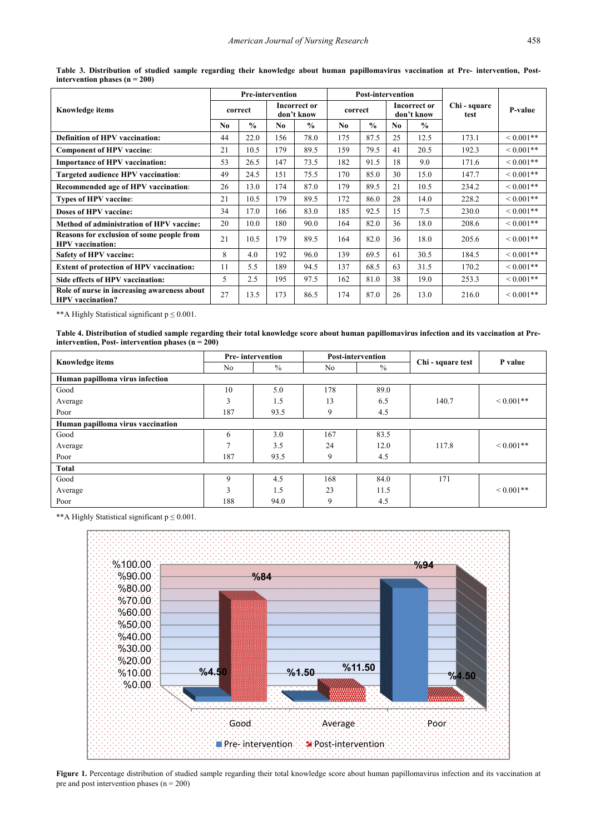<span id="page-5-0"></span>

|                                                                        |                |               | <b>Pre-intervention</b> |                                   |         | <b>Post-intervention</b> |                |                                   |                      |                |
|------------------------------------------------------------------------|----------------|---------------|-------------------------|-----------------------------------|---------|--------------------------|----------------|-----------------------------------|----------------------|----------------|
| <b>Knowledge items</b>                                                 |                | correct       |                         | <b>Incorrect or</b><br>don't know | correct |                          |                | <b>Incorrect or</b><br>don't know | Chi - square<br>test | P-value        |
|                                                                        | N <sub>0</sub> | $\frac{0}{0}$ | No.                     | $\frac{0}{0}$                     | No.     | $\frac{0}{0}$            | N <sub>0</sub> | $\frac{0}{0}$                     |                      |                |
| <b>Definition of HPV vaccination:</b>                                  | 44             | 22.0          | 156                     | 78.0                              | 175     | 87.5                     | 25             | 12.5                              | 173.1                | $0.001**$      |
| <b>Component of HPV vaccine:</b>                                       | 21             | 10.5          | 179                     | 89.5                              | 159     | 79.5                     | 41             | 20.5                              | 192.3                | ${}_{0.001**}$ |
| <b>Importance of HPV vaccination:</b>                                  | 53             | 26.5          | 147                     | 73.5                              | 182     | 91.5                     | 18             | 9.0                               | 171.6                | $0.001**$      |
| Targeted audience HPV vaccination:                                     | 49             | 24.5          | 151                     | 75.5                              | 170     | 85.0                     | 30             | 15.0                              | 147.7                | $0.001**$      |
| Recommended age of HPV vaccination:                                    | 26             | 13.0          | 174                     | 87.0                              | 179     | 89.5                     | 21             | 10.5                              | 234.2                | $0.001**$      |
| <b>Types of HPV vaccine:</b>                                           | 21             | 10.5          | 179                     | 89.5                              | 172     | 86.0                     | 28             | 14.0                              | 228.2                | ${}_{0.001**}$ |
| Doses of HPV vaccine:                                                  | 34             | 17.0          | 166                     | 83.0                              | 185     | 92.5                     | 15             | 7.5                               | 230.0                | ${}_{0.001**}$ |
| <b>Method of administration of HPV vaccine:</b>                        | 20             | 10.0          | 180                     | 90.0                              | 164     | 82.0                     | 36             | 18.0                              | 208.6                | ${}_{0.001**}$ |
| Reasons for exclusion of some people from<br><b>HPV</b> vaccination:   | 21             | 10.5          | 179                     | 89.5                              | 164     | 82.0                     | 36             | 18.0                              | 205.6                | ${}<0.001**$   |
| Safety of HPV vaccine:                                                 | 8              | 4.0           | 192                     | 96.0                              | 139     | 69.5                     | 61             | 30.5                              | 184.5                | ${}_{0.001**}$ |
| <b>Extent of protection of HPV vaccination:</b>                        | 11             | 5.5           | 189                     | 94.5                              | 137     | 68.5                     | 63             | 31.5                              | 170.2                | ${}_{0.001**}$ |
| Side effects of HPV vaccination:                                       | 5              | 2.5           | 195                     | 97.5                              | 162     | 81.0                     | 38             | 19.0                              | 253.3                | $0.001**$      |
| Role of nurse in increasing awareness about<br><b>HPV</b> vaccination? | 27             | 13.5          | 173                     | 86.5                              | 174     | 87.0                     | 26             | 13.0                              | 216.0                | $0.001**$      |

**Table 3. Distribution of studied sample regarding their knowledge about human papillomavirus vaccination at Pre- intervention, Postintervention phases (n = 200)**

\*\*A Highly Statistical significant  $p \le 0.001$ .

**Table 4. Distribution of studied sample regarding their total knowledge score about human papillomavirus infection and its vaccination at Preintervention, Post- intervention** phases  $(n = 200)$ 

<span id="page-5-1"></span>

|                                   | <b>Pre-intervention</b> |      |     | <b>Post-intervention</b> |                   | P value       |
|-----------------------------------|-------------------------|------|-----|--------------------------|-------------------|---------------|
| Knowledge items                   | No                      | $\%$ | No  | $\%$                     | Chi - square test |               |
| Human papilloma virus infection   |                         |      |     |                          |                   |               |
| Good                              | 10                      | 5.0  | 178 | 89.0                     |                   |               |
| Average                           | 3                       | 1.5  | 13  | 6.5                      | 140.7             | ${}< 0.001**$ |
| Poor                              | 187                     | 93.5 | 9   | 4.5                      |                   |               |
| Human papilloma virus vaccination |                         |      |     |                          |                   |               |
| Good                              | 6                       | 3.0  | 167 | 83.5                     |                   |               |
| Average                           | $\mathcal{I}$           | 3.5  | 24  | 12.0                     | 117.8             | ${}< 0.001**$ |
| Poor                              | 187                     | 93.5 | 9   | 4.5                      |                   |               |
| Total                             |                         |      |     |                          |                   |               |
| Good                              | 9                       | 4.5  | 168 | 84.0                     | 171               |               |
| Average                           | 3                       | 1.5  | 23  | 11.5                     |                   | ${}< 0.001**$ |
| Poor                              | 188                     | 94.0 | 9   | 4.5                      |                   |               |

<span id="page-5-2"></span>\*\*A Highly Statistical significant p ≤ 0.001.



Figure 1. Percentage distribution of studied sample regarding their total knowledge score about human papillomavirus infection and its vaccination at pre and post intervention phases  $(n = 200)$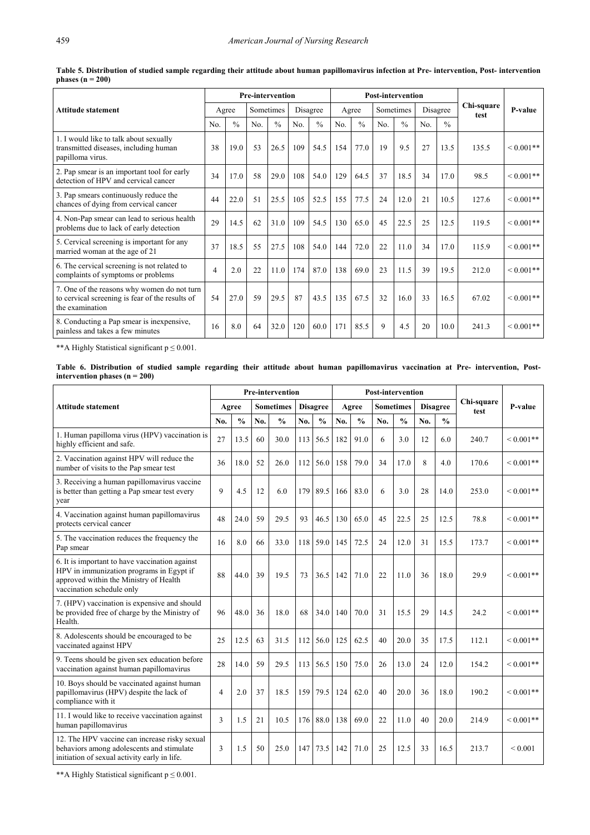<span id="page-6-0"></span>

|                                                                                                                   | <b>Pre-intervention</b> |               |           |               |          |               |       |               | <b>Post-intervention</b> |               |     |               |                    |                |
|-------------------------------------------------------------------------------------------------------------------|-------------------------|---------------|-----------|---------------|----------|---------------|-------|---------------|--------------------------|---------------|-----|---------------|--------------------|----------------|
| Attitude statement                                                                                                |                         | Agree         | Sometimes |               | Disagree |               | Agree |               | Sometimes                |               |     | Disagree      | Chi-square<br>test | P-value        |
|                                                                                                                   | No.                     | $\frac{0}{0}$ | No.       | $\frac{0}{0}$ | No.      | $\frac{0}{0}$ | No.   | $\frac{0}{0}$ | No.                      | $\frac{0}{0}$ | No. | $\frac{0}{0}$ |                    |                |
| 1. I would like to talk about sexually<br>transmitted diseases, including human<br>papilloma virus.               | 38                      | 19.0          | 53        | 26.5          | 109      | 54.5          | 154   | 77.0          | 19                       | 9.5           | 27  | 13.5          | 135.5              | ${}_{0.001**}$ |
| 2. Pap smear is an important tool for early<br>detection of HPV and cervical cancer                               | 34                      | 17.0          | 58        | 29.0          | 108      | 54.0          | 129   | 64.5          | 37                       | 18.5          | 34  | 17.0          | 98.5               | ${}< 0.001**$  |
| 3. Pap smears continuously reduce the<br>chances of dying from cervical cancer                                    | 44                      | 22.0          | 51        | 25.5          | 105      | 52.5          | 155   | 77.5          | 24                       | 12.0          | 21  | 10.5          | 127.6              | ${}< 0.001**$  |
| 4. Non-Pap smear can lead to serious health<br>problems due to lack of early detection                            | 29                      | 14.5          | 62        | 31.0          | 109      | 54.5          | 130   | 65.0          | 45                       | 22.5          | 25  | 12.5          | 119.5              | ${}_{0.001**}$ |
| 5. Cervical screening is important for any<br>married woman at the age of 21                                      | 37                      | 18.5          | 55        | 27.5          | 108      | 54.0          | 144   | 72.0          | 22                       | 11.0          | 34  | 17.0          | 115.9              | ${}< 0.001**$  |
| 6. The cervical screening is not related to<br>complaints of symptoms or problems                                 | $\overline{4}$          | 2.0           | 22        | 11.0          | 174      | 87.0          | 138   | 69.0          | 23                       | 11.5          | 39  | 19.5          | 212.0              | ${}_{0.001**}$ |
| 7. One of the reasons why women do not turn<br>to cervical screening is fear of the results of<br>the examination | 54                      | 27.0          | 59        | 29.5          | 87       | 43.5          | 135   | 67.5          | 32                       | 16.0          | 33  | 16.5          | 67.02              | ${}_{0.001**}$ |
| 8. Conducting a Pap smear is inexpensive,<br>painless and takes a few minutes                                     | 16                      | 8.0           | 64        | 32.0          | 120      | 60.0          | 171   | 85.5          | 9                        | 4.5           | 20  | 10.0          | 241.3              | ${}_{0.001**}$ |

**Table 5. Distribution of studied sample regarding their attitude about human papillomavirus infection at Pre- intervention, Post- intervention phases (n = 200)**

\*\*A Highly Statistical significant p ≤ 0.001.

**Table 6. Distribution of studied sample regarding their attitude about human papillomavirus vaccination at Pre- intervention, Postintervention phases (n = 200)**

<span id="page-6-1"></span>

|                                                                                                                                                                   |                |               |     | <b>Pre-intervention</b> |     |                 |     |               |     | <b>Post-intervention</b> |     |                 |                    |                |
|-------------------------------------------------------------------------------------------------------------------------------------------------------------------|----------------|---------------|-----|-------------------------|-----|-----------------|-----|---------------|-----|--------------------------|-----|-----------------|--------------------|----------------|
| Attitude statement                                                                                                                                                |                | Agree         |     | <b>Sometimes</b>        |     | <b>Disagree</b> |     | Agree         |     | <b>Sometimes</b>         |     | <b>Disagree</b> | Chi-square<br>test | <b>P-value</b> |
|                                                                                                                                                                   | No.            | $\frac{0}{0}$ | No. | $\frac{0}{0}$           | No. | $\frac{0}{0}$   | No. | $\frac{0}{0}$ | No. | $\frac{0}{0}$            | No. | $\frac{0}{0}$   |                    |                |
| 1. Human papilloma virus (HPV) vaccination is<br>highly efficient and safe.                                                                                       | 27             | 13.5          | 60  | 30.0                    | 113 | 56.5            | 182 | 91.0          | 6   | 3.0                      | 12  | 6.0             | 240.7              | ${}< 0.001**$  |
| 2. Vaccination against HPV will reduce the<br>number of visits to the Pap smear test                                                                              | 36             | 18.0          | 52  | 26.0                    | 112 | 56.0            | 158 | 79.0          | 34  | 17.0                     | 8   | 4.0             | 170.6              | ${}< 0.001**$  |
| 3. Receiving a human papillomavirus vaccine<br>is better than getting a Pap smear test every<br>year                                                              | 9              | 4.5           | 12  | 6.0                     | 179 | 89.5            | 166 | 83.0          | 6   | 3.0                      | 28  | 14.0            | 253.0              | ${}< 0.001**$  |
| 4. Vaccination against human papillomavirus<br>protects cervical cancer                                                                                           | 48             | 24.0          | 59  | 29.5                    | 93  | 46.5            | 130 | 65.0          | 45  | 22.5                     | 25  | 12.5            | 78.8               | ${}<0.001**$   |
| 5. The vaccination reduces the frequency the<br>Pap smear                                                                                                         | 16             | 8.0           | 66  | 33.0                    | 118 | 59.0            | 145 | 72.5          | 24  | 12.0                     | 31  | 15.5            | 173.7              | ${}< 0.001**$  |
| 6. It is important to have vaccination against<br>HPV in immunization programs in Egypt if<br>approved within the Ministry of Health<br>vaccination schedule only | 88             | 44.0          | 39  | 19.5                    | 73  | 36.5            | 142 | 71.0          | 22  | 11.0                     | 36  | 18.0            | 29.9               | ${}< 0.001**$  |
| 7. (HPV) vaccination is expensive and should<br>be provided free of charge by the Ministry of<br>Health.                                                          | 96             | 48.0          | 36  | 18.0                    | 68  | 34.0            | 140 | 70.0          | 31  | 15.5                     | 29  | 14.5            | 24.2               | ${}< 0.001**$  |
| 8. Adolescents should be encouraged to be<br>vaccinated against HPV                                                                                               | 25             | 12.5          | 63  | 31.5                    | 112 | 56.0            | 125 | 62.5          | 40  | 20.0                     | 35  | 17.5            | 112.1              | ${}< 0.001**$  |
| 9. Teens should be given sex education before<br>vaccination against human papillomavirus                                                                         | 28             | 14.0          | 59  | 29.5                    | 113 | 56.5            | 150 | 75.0          | 26  | 13.0                     | 24  | 12.0            | 154.2              | ${}< 0.001**$  |
| 10. Boys should be vaccinated against human<br>papillomavirus (HPV) despite the lack of<br>compliance with it                                                     | $\overline{4}$ | 2.0           | 37  | 18.5                    | 159 | 79.5            | 124 | 62.0          | 40  | 20.0                     | 36  | 18.0            | 190.2              | ${}<0.001**$   |
| 11. I would like to receive vaccination against<br>human papillomavirus                                                                                           | $\mathbf{3}$   | 1.5           | 21  | 10.5                    | 176 | 88.0            | 138 | 69.0          | 22  | 11.0                     | 40  | 20.0            | 214.9              | $0.001**$      |
| 12. The HPV vaccine can increase risky sexual<br>behaviors among adolescents and stimulate<br>initiation of sexual activity early in life.                        | 3              | 1.5           | 50  | 25.0                    | 147 | 73.5            | 142 | 71.0          | 25  | 12.5                     | 33  | 16.5            | 213.7              | ${}_{0.001}$   |

\*\*A Highly Statistical significant p ≤ 0.001.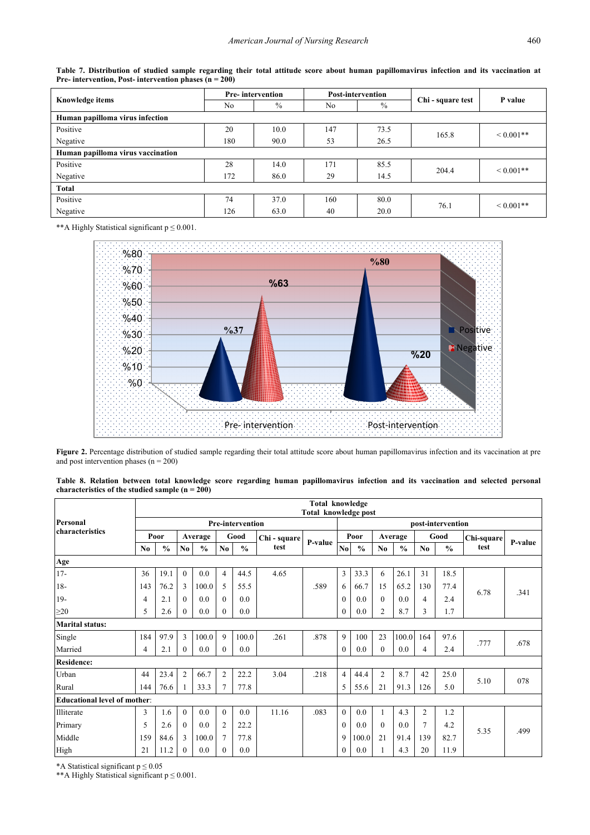<span id="page-7-0"></span>

|                                   |                | <b>Pre-intervention</b> |     | <b>Post-intervention</b> |                   | P value       |  |
|-----------------------------------|----------------|-------------------------|-----|--------------------------|-------------------|---------------|--|
| Knowledge items                   | N <sub>0</sub> | $\%$                    | No. | $\%$                     | Chi - square test |               |  |
| Human papilloma virus infection   |                |                         |     |                          |                   |               |  |
| Positive                          | 20             | 10.0                    | 147 | 73.5                     | 165.8             | ${}< 0.001**$ |  |
| Negative                          | 180            | 90.0                    | 53  | 26.5                     |                   |               |  |
| Human papilloma virus vaccination |                |                         |     |                          |                   |               |  |
| Positive                          | 28             | 14.0                    | 171 | 85.5                     | 204.4             | ${}< 0.001**$ |  |
| Negative                          | 172            | 86.0                    | 29  | 14.5                     |                   |               |  |
| Total                             |                |                         |     |                          |                   |               |  |
| Positive                          | 74             | 37.0                    | 160 | 80.0                     | 76.1              | ${}< 0.001**$ |  |
| Negative                          | 126            | 63.0                    | 40  | 20.0                     |                   |               |  |

**Table 7. Distribution of studied sample regarding their total attitude score about human papillomavirus infection and its vaccination at Pre- intervention, Post- intervention phases (n = 200)**

<span id="page-7-1"></span>\*\*A Highly Statistical significant p ≤ 0.001.



Figure 2. Percentage distribution of studied sample regarding their total attitude score about human papillomavirus infection and its vaccination at pre and post intervention phases  $(n = 200)$ 

| Table 8. Relation between total knowledge score regarding human papillomavirus infection and its vaccination and selected personal |  |  |  |  |  |  |  |
|------------------------------------------------------------------------------------------------------------------------------------|--|--|--|--|--|--|--|
| characteristics of the studied sample $(n = 200)$                                                                                  |  |  |  |  |  |  |  |

<span id="page-7-2"></span>

|                                     |     | Total knowledge<br><b>Total knowledge post</b> |          |               |                |                         |              |         |                        |               |                |               |                |               |            |         |  |
|-------------------------------------|-----|------------------------------------------------|----------|---------------|----------------|-------------------------|--------------|---------|------------------------|---------------|----------------|---------------|----------------|---------------|------------|---------|--|
| Personal                            |     |                                                |          |               |                | <b>Pre-intervention</b> |              |         | post-intervention      |               |                |               |                |               |            |         |  |
| <b>characteristics</b>              |     | Poor                                           |          | Average       | Good           |                         | Chi - square | P-value |                        | Poor          | Average        |               | Good           |               | Chi-square | P-value |  |
|                                     | No  | $\frac{0}{0}$                                  | No       | $\frac{0}{0}$ | No.            | $\frac{0}{0}$           | test         |         | $\mathbf{N}\mathbf{0}$ | $\frac{0}{0}$ | No.            | $\frac{0}{0}$ | N <sub>0</sub> | $\frac{0}{0}$ | test       |         |  |
| Age                                 |     |                                                |          |               |                |                         |              |         |                        |               |                |               |                |               |            |         |  |
| $17-$                               | 36  | 19.1                                           | $\theta$ | $0.0\,$       | $\overline{4}$ | 44.5                    | 4.65         |         | 3                      | 33.3          | 6              | 26.1          | 31             | 18.5          |            |         |  |
| $18-$                               | 143 | 76.2                                           | 3        | 100.0         | 5              | 55.5                    |              | .589    | 6                      | 66.7          | 15             | 65.2          | 130            | 77.4          | 6.78       | .341    |  |
| $19-$                               | 4   | 2.1                                            | $\theta$ | 0.0           | $\theta$       | 0.0                     |              |         | $\theta$               | 0.0           | $\theta$       | 0.0           | 4              | 2.4           |            |         |  |
| $\geq$ 20                           | 5   | 2.6                                            | $\theta$ | 0.0           | $\Omega$       | 0.0                     |              |         | $\theta$               | 0.0           | $\overline{c}$ | 8.7           | 3              | 1.7           |            |         |  |
| <b>Marital status:</b>              |     |                                                |          |               |                |                         |              |         |                        |               |                |               |                |               |            |         |  |
| Single                              | 184 | 97.9                                           | 3        | 100.0         | 9              | 100.0                   | .261         | .878    | 9                      | 100           | 23             | 100.0         | 164            | 97.6          | .777       | .678    |  |
| Married                             | 4   | 2.1                                            | $\theta$ | 0.0           | $\Omega$       | 0.0                     |              |         | $\theta$               | 0.0           | $\theta$       | 0.0           | 4              | 2.4           |            |         |  |
| <b>Residence:</b>                   |     |                                                |          |               |                |                         |              |         |                        |               |                |               |                |               |            |         |  |
| Urban                               | 44  | 23.4                                           | 2        | 66.7          | $\overline{2}$ | 22.2                    | 3.04         | .218    | $\overline{4}$         | 44.4          | 2              | 8.7           | 42             | 25.0          | 5.10       | 078     |  |
| Rural                               | 144 | 76.6                                           |          | 33.3          | $\tau$         | 77.8                    |              |         | 5                      | 55.6          | 21             | 91.3          | 126            | 5.0           |            |         |  |
| <b>Educational level of mother:</b> |     |                                                |          |               |                |                         |              |         |                        |               |                |               |                |               |            |         |  |
| Illiterate                          | 3   | 1.6                                            | $\theta$ | 0.0           | $\theta$       | 0.0                     | 11.16        | .083    | $\theta$               | 0.0           | 1              | 4.3           | 2              | 1.2           |            |         |  |
| Primary                             | 5   | 2.6                                            | $\theta$ | 0.0           | $\overline{2}$ | 22.2                    |              |         | $\theta$               | 0.0           | $\theta$       | 0.0           | $\overline{7}$ | 4.2           |            |         |  |
| Middle                              | 159 | 84.6                                           | 3        | 100.0         | $\tau$         | 77.8                    |              |         | 9                      | 0.001         | 21             | 91.4          | 139            | 82.7          | 5.35       | .499    |  |
| High                                | 21  | 11.2                                           | $\Omega$ | 0.0           | $\Omega$       | 0.0                     |              |         | $\theta$               | 0.0           | 1              | 4.3           | 20             | 11.9          |            |         |  |

\*A Statistical significant  $p \le 0.05$ 

\*\*A Highly Statistical significant p ≤ 0.001.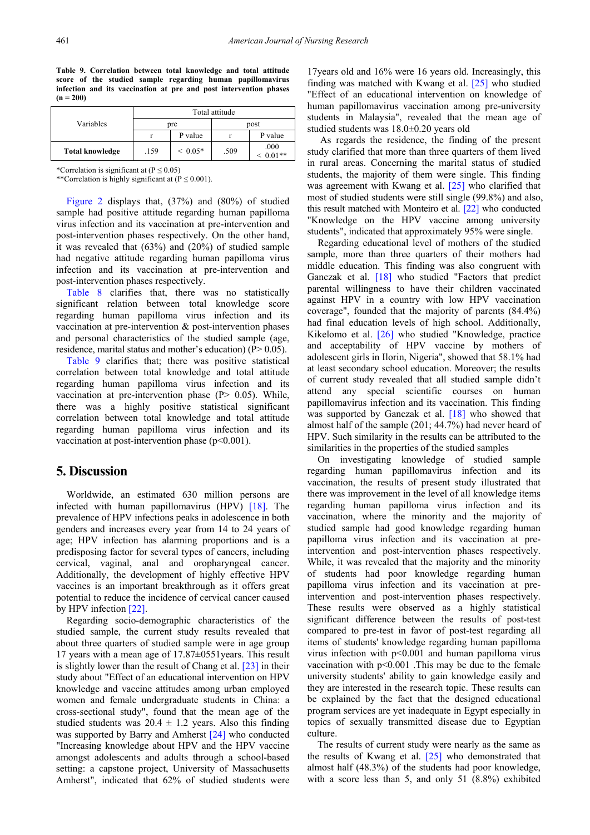**Table 9. Correlation between total knowledge and total attitude score of the studied sample regarding human papillomavirus infection and its vaccination at pre and post intervention phases (n = 200)**

<span id="page-8-0"></span>

|                        |      | Total attitude |      |                |  |  |  |  |  |  |  |  |
|------------------------|------|----------------|------|----------------|--|--|--|--|--|--|--|--|
| Variables              |      | pre            | post |                |  |  |  |  |  |  |  |  |
|                        |      | P value        |      | P value        |  |  |  |  |  |  |  |  |
| <b>Total knowledge</b> | .159 | $~< 0.05*$     | .509 | .000<br>$01**$ |  |  |  |  |  |  |  |  |

\*Correlation is significant at  $(P \le 0.05)$ 

\*\*Correlation is highly significant at  $(P \le 0.001)$ .

[Figure 2](#page-7-1) displays that, (37%) and (80%) of studied sample had positive attitude regarding human papilloma virus infection and its vaccination at pre-intervention and post-intervention phases respectively. On the other hand, it was revealed that (63%) and (20%) of studied sample had negative attitude regarding human papilloma virus infection and its vaccination at pre-intervention and post-intervention phases respectively.

[Table 8](#page-7-2) clarifies that, there was no statistically significant relation between total knowledge score regarding human papilloma virus infection and its vaccination at pre-intervention & post-intervention phases and personal characteristics of the studied sample (age, residence, marital status and mother's education) (P> 0.05).

[Table 9](#page-8-0) clarifies that; there was positive statistical correlation between total knowledge and total attitude regarding human papilloma virus infection and its vaccination at pre-intervention phase  $(P> 0.05)$ . While, there was a highly positive statistical significant correlation between total knowledge and total attitude regarding human papilloma virus infection and its vaccination at post-intervention phase  $(p<0.001)$ .

# **5. Discussion**

Worldwide, an estimated 630 million persons are infected with human papillomavirus (HPV) [\[18\].](#page-11-11) The prevalence of HPV infections peaks in adolescence in both genders and increases every year from 14 to 24 years of age; HPV infection has alarming proportions and is a predisposing factor for several types of cancers, including cervical, vaginal, anal and oropharyngeal cancer. Additionally, the development of highly effective HPV vaccines is an important breakthrough as it offers great potential to reduce the incidence of cervical cancer caused by HPV infectio[n \[22\].](#page-11-15) 

Regarding socio-demographic characteristics of the studied sample, the current study results revealed that about three quarters of studied sample were in age group 17 years with a mean age of 17.87±0551years. This result is slightly lower than the result of Chang et al. [\[23\]](#page-11-16) in their study about "Effect of an educational intervention on HPV knowledge and vaccine attitudes among urban employed women and female undergraduate students in China: a cross-sectional study", found that the mean age of the studied students was  $20.4 \pm 1.2$  years. Also this finding was supported by Barry and Amherst [\[24\]](#page-11-17) who conducted "Increasing knowledge about HPV and the HPV vaccine amongst adolescents and adults through a school-based setting: a capstone project, University of Massachusetts Amherst", indicated that 62% of studied students were

17years old and 16% were 16 years old. Increasingly, this finding was matched with Kwang et al. [\[25\]](#page-11-18) who studied "Effect of an educational intervention on knowledge of human papillomavirus vaccination among pre-university students in Malaysia", revealed that the mean age of studied students was 18.0±0.20 years old

As regards the residence, the finding of the present study clarified that more than three quarters of them lived in rural areas. Concerning the marital status of studied students, the majority of them were single. This finding was agreement with Kwang et al. [\[25\]](#page-11-18) who clarified that most of studied students were still single (99.8%) and also, this result matched with Monteiro et al. [\[22\]](#page-11-15) who conducted "Knowledge on the HPV vaccine among university students", indicated that approximately 95% were single.

Regarding educational level of mothers of the studied sample, more than three quarters of their mothers had middle education. This finding was also congruent with Ganczak et al. [\[18\]](#page-11-11) who studied "Factors that predict parental willingness to have their children vaccinated against HPV in a country with low HPV vaccination coverage", founded that the majority of parents (84.4%) had final education levels of high school. Additionally, Kikelomo et al. [\[26\]](#page-11-19) who studied "Knowledge, practice and acceptability of HPV vaccine by mothers of adolescent girls in Ilorin, Nigeria", showed that 58.1% had at least secondary school education. Moreover; the results of current study revealed that all studied sample didn't attend any special scientific courses on human papillomavirus infection and its vaccination. This finding was supported by Ganczak et al. [\[18\]](#page-11-11) who showed that almost half of the sample (201; 44.7%) had never heard of HPV. Such similarity in the results can be attributed to the similarities in the properties of the studied samples

On investigating knowledge of studied sample regarding human papillomavirus infection and its vaccination, the results of present study illustrated that there was improvement in the level of all knowledge items regarding human papilloma virus infection and its vaccination, where the minority and the majority of studied sample had good knowledge regarding human papilloma virus infection and its vaccination at preintervention and post-intervention phases respectively. While, it was revealed that the majority and the minority of students had poor knowledge regarding human papilloma virus infection and its vaccination at preintervention and post-intervention phases respectively. These results were observed as a highly statistical significant difference between the results of post-test compared to pre-test in favor of post-test regarding all items of students' knowledge regarding human papilloma virus infection with p<0.001 and human papilloma virus vaccination with  $p<0.001$ . This may be due to the female university students' ability to gain knowledge easily and they are interested in the research topic. These results can be explained by the fact that the designed educational program services are yet inadequate in Egypt especially in topics of sexually transmitted disease due to Egyptian culture.

The results of current study were nearly as the same as the results of Kwang et al. [\[25\]](#page-11-18) who demonstrated that almost half (48.3%) of the students had poor knowledge, with a score less than 5, and only 51 (8.8%) exhibited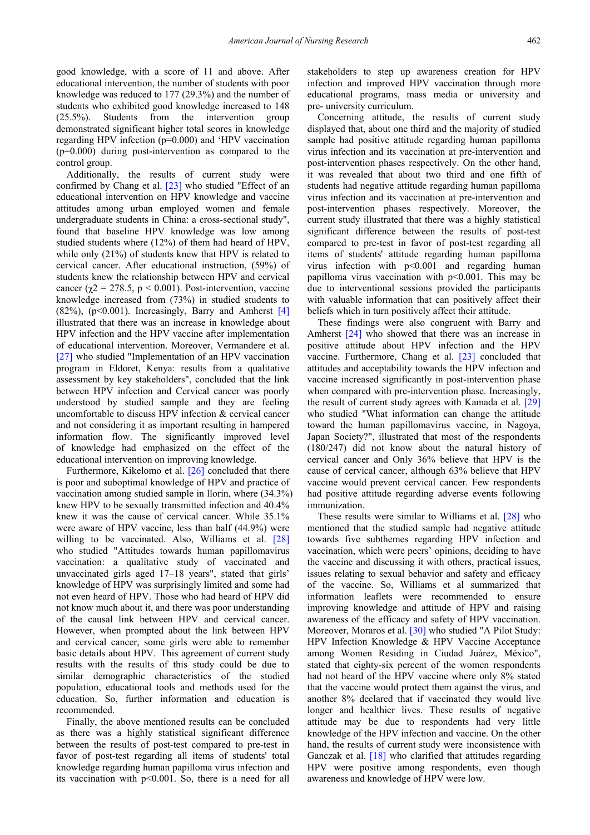good knowledge, with a score of 11 and above. After educational intervention, the number of students with poor knowledge was reduced to 177 (29.3%) and the number of students who exhibited good knowledge increased to 148 (25.5%). Students from the intervention group demonstrated significant higher total scores in knowledge regarding HPV infection (p=0.000) and 'HPV vaccination (p=0.000) during post-intervention as compared to the control group.

Additionally, the results of current study were confirmed by Chang et al. [\[23\]](#page-11-16) who studied "Effect of an educational intervention on HPV knowledge and vaccine attitudes among urban employed women and female undergraduate students in China: a cross-sectional study", found that baseline HPV knowledge was low among studied students where (12%) of them had heard of HPV, while only (21%) of students knew that HPV is related to cervical cancer. After educational instruction, (59%) of students knew the relationship between HPV and cervical cancer ( $\chi$ 2 = 278.5, p < 0.001). Post-intervention, vaccine knowledge increased from (73%) in studied students to  $(82\%)$ ,  $(p<0.001)$ . Increasingly, Barry and Amherst [\[4\]](#page-10-3) illustrated that there was an increase in knowledge about HPV infection and the HPV vaccine after implementation of educational intervention. Moreover, Vermandere et al. [\[27\]](#page-11-20) who studied "Implementation of an HPV vaccination program in Eldoret, Kenya: results from a qualitative assessment by key stakeholders", concluded that the link between HPV infection and Cervical cancer was poorly understood by studied sample and they are feeling uncomfortable to discuss HPV infection & cervical cancer and not considering it as important resulting in hampered information flow. The significantly improved level of knowledge had emphasized on the effect of the educational intervention on improving knowledge.

Furthermore, Kikelomo et al. [\[26\]](#page-11-19) concluded that there is poor and suboptimal knowledge of HPV and practice of vaccination among studied sample in llorin, where (34.3%) knew HPV to be sexually transmitted infection and 40.4% knew it was the cause of cervical cancer. While 35.1% were aware of HPV vaccine, less than half (44.9%) were willing to be vaccinated. Also, Williams et al. [\[28\]](#page-11-21) who studied "Attitudes towards human papillomavirus vaccination: a qualitative study of vaccinated and unvaccinated girls aged 17–18 years", stated that girls' knowledge of HPV was surprisingly limited and some had not even heard of HPV. Those who had heard of HPV did not know much about it, and there was poor understanding of the causal link between HPV and cervical cancer. However, when prompted about the link between HPV and cervical cancer, some girls were able to remember basic details about HPV. This agreement of current study results with the results of this study could be due to similar demographic characteristics of the studied population, educational tools and methods used for the education. So, further information and education is recommended.

Finally, the above mentioned results can be concluded as there was a highly statistical significant difference between the results of post-test compared to pre-test in favor of post-test regarding all items of students' total knowledge regarding human papilloma virus infection and its vaccination with p<0.001. So, there is a need for all

stakeholders to step up awareness creation for HPV infection and improved HPV vaccination through more educational programs, mass media or university and pre- university curriculum.

Concerning attitude, the results of current study displayed that, about one third and the majority of studied sample had positive attitude regarding human papilloma virus infection and its vaccination at pre-intervention and post-intervention phases respectively. On the other hand, it was revealed that about two third and one fifth of students had negative attitude regarding human papilloma virus infection and its vaccination at pre-intervention and post-intervention phases respectively. Moreover, the current study illustrated that there was a highly statistical significant difference between the results of post-test compared to pre-test in favor of post-test regarding all items of students' attitude regarding human papilloma virus infection with p<0.001 and regarding human papilloma virus vaccination with  $p<0.001$ . This may be due to interventional sessions provided the participants with valuable information that can positively affect their beliefs which in turn positively affect their attitude.

These findings were also congruent with Barry and Amherst [\[24\]](#page-11-17) who showed that there was an increase in positive attitude about HPV infection and the HPV vaccine. Furthermore, Chang et al. [\[23\]](#page-11-16) concluded that attitudes and acceptability towards the HPV infection and vaccine increased significantly in post-intervention phase when compared with pre-intervention phase. Increasingly, the result of current study agrees with Kamada et al. [\[29\]](#page-11-22) who studied "What information can change the attitude toward the human papillomavirus vaccine, in Nagoya, Japan Society?", illustrated that most of the respondents (180/247) did not know about the natural history of cervical cancer and Only 36% believe that HPV is the cause of cervical cancer, although 63% believe that HPV vaccine would prevent cervical cancer. Few respondents had positive attitude regarding adverse events following immunization.

These results were similar to Williams et al. [\[28\]](#page-11-21) who mentioned that the studied sample had negative attitude towards five subthemes regarding HPV infection and vaccination, which were peers' opinions, deciding to have the vaccine and discussing it with others, practical issues, issues relating to sexual behavior and safety and efficacy of the vaccine. So, Williams et al summarized that information leaflets were recommended to ensure improving knowledge and attitude of HPV and raising awareness of the efficacy and safety of HPV vaccination. Moreover, Moraros et al. [\[30\]](#page-11-23) who studied "A Pilot Study: HPV Infection Knowledge & HPV Vaccine Acceptance among Women Residing in Ciudad Juárez, México", stated that eighty-six percent of the women respondents had not heard of the HPV vaccine where only 8% stated that the vaccine would protect them against the virus, and another 8% declared that if vaccinated they would live longer and healthier lives. These results of negative attitude may be due to respondents had very little knowledge of the HPV infection and vaccine. On the other hand, the results of current study were inconsistence with Ganczak et al. [\[18\]](#page-11-11) who clarified that attitudes regarding HPV were positive among respondents, even though awareness and knowledge of HPV were low.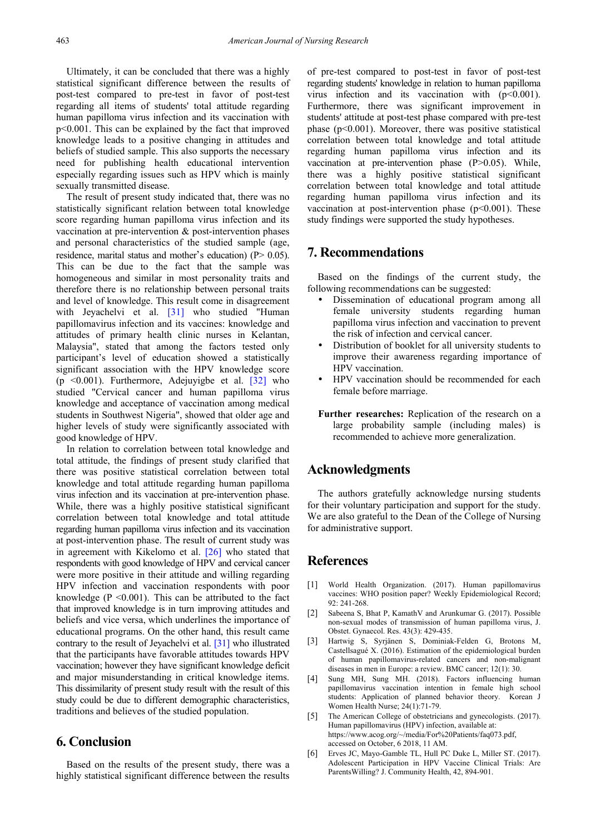Ultimately, it can be concluded that there was a highly statistical significant difference between the results of post-test compared to pre-test in favor of post-test regarding all items of students' total attitude regarding human papilloma virus infection and its vaccination with p<0.001. This can be explained by the fact that improved knowledge leads to a positive changing in attitudes and beliefs of studied sample. This also supports the necessary need for publishing health educational intervention especially regarding issues such as HPV which is mainly sexually transmitted disease.

The result of present study indicated that, there was no statistically significant relation between total knowledge score regarding human papilloma virus infection and its vaccination at pre-intervention & post-intervention phases and personal characteristics of the studied sample (age, residence, marital status and mother's education) (P > 0.05). This can be due to the fact that the sample was homogeneous and similar in most personality traits and therefore there is no relationship between personal traits and level of knowledge. This result come in disagreement with Jeyachelvi et al. [\[31\]](#page-11-24) who studied "Human papillomavirus infection and its vaccines: knowledge and attitudes of primary health clinic nurses in Kelantan, Malaysia", stated that among the factors tested only participant's level of education showed a statistically significant association with the HPV knowledge score (p  $\leq 0.001$ ). Furthermore, Adejuvigbe et al. [\[32\]](#page-11-25) who studied "Cervical cancer and human papilloma virus knowledge and acceptance of vaccination among medical students in Southwest Nigeria", showed that older age and higher levels of study were significantly associated with good knowledge of HPV.

In relation to correlation between total knowledge and total attitude, the findings of present study clarified that there was positive statistical correlation between total knowledge and total attitude regarding human papilloma virus infection and its vaccination at pre-intervention phase. While, there was a highly positive statistical significant correlation between total knowledge and total attitude regarding human papilloma virus infection and its vaccination at post-intervention phase. The result of current study was in agreement with Kikelomo et al. [\[26\]](#page-11-19) who stated that respondents with good knowledge of HPV and cervical cancer were more positive in their attitude and willing regarding HPV infection and vaccination respondents with poor knowledge ( $P \le 0.001$ ). This can be attributed to the fact that improved knowledge is in turn improving attitudes and beliefs and vice versa, which underlines the importance of educational programs. On the other hand, this result came contrary to the result of Jeyachelvi et al. [\[31\]](#page-11-24) who illustrated that the participants have favorable attitudes towards HPV vaccination; however they have significant knowledge deficit and major misunderstanding in critical knowledge items. This dissimilarity of present study result with the result of this study could be due to different demographic characteristics, traditions and believes of the studied population.

# **6. Conclusion**

Based on the results of the present study, there was a highly statistical significant difference between the results of pre-test compared to post-test in favor of post-test regarding students' knowledge in relation to human papilloma virus infection and its vaccination with  $(p<0.001)$ . Furthermore, there was significant improvement in students' attitude at post-test phase compared with pre-test phase (p<0.001). Moreover, there was positive statistical correlation between total knowledge and total attitude regarding human papilloma virus infection and its vaccination at pre-intervention phase (P>0.05). While, there was a highly positive statistical significant correlation between total knowledge and total attitude regarding human papilloma virus infection and its vaccination at post-intervention phase  $(p<0.001)$ . These study findings were supported the study hypotheses.

# **7. Recommendations**

Based on the findings of the current study, the following recommendations can be suggested:

- Dissemination of educational program among all female university students regarding human papilloma virus infection and vaccination to prevent the risk of infection and cervical cancer.
- Distribution of booklet for all university students to improve their awareness regarding importance of HPV vaccination.
- HPV vaccination should be recommended for each female before marriage.
- **Further researches:** Replication of the research on a large probability sample (including males) is recommended to achieve more generalization.

# **Acknowledgments**

The authors gratefully acknowledge nursing students for their voluntary participation and support for the study. We are also grateful to the Dean of the College of Nursing for administrative support.

# **References**

- <span id="page-10-0"></span>[1] World Health Organization. (2017). Human papillomavirus vaccines: WHO position paper? Weekly Epidemiological Record; 92: 241-268.
- <span id="page-10-1"></span>[2] Sabeena S, Bhat P, KamathV and Arunkumar G. (2017). Possible non-sexual modes of transmission of human papilloma virus, J. Obstet. Gynaecol. Res. 43(3): 429-435.
- <span id="page-10-2"></span>[3] Hartwig S, Syrjänen S, Dominiak-Felden G, Brotons M, Castellsagué X. (2016). Estimation of the epidemiological burden of human papillomavirus-related cancers and non-malignant diseases in men in Europe: a review. BMC cancer; 12(1): 30.
- <span id="page-10-3"></span>[4] Sung MH, Sung MH. (2018). Factors influencing human papillomavirus vaccination intention in female high school students: Application of planned behavior theory. Korean J Women Health Nurse; 24(1):71-79.
- <span id="page-10-4"></span>[5] The American College of obstetricians and gynecologists. (2017). Human papillomavirus (HPV) infection, available at: https://www.acog.org/~/media/For%20Patients/faq073.pdf, accessed on October, 6 2018, 11 AM.
- <span id="page-10-5"></span>[6] Erves JC, Mayo-Gamble TL, Hull PC Duke L, Miller ST. (2017). Adolescent Participation in HPV Vaccine Clinical Trials: Are ParentsWilling? J. Community Health, 42, 894-901.